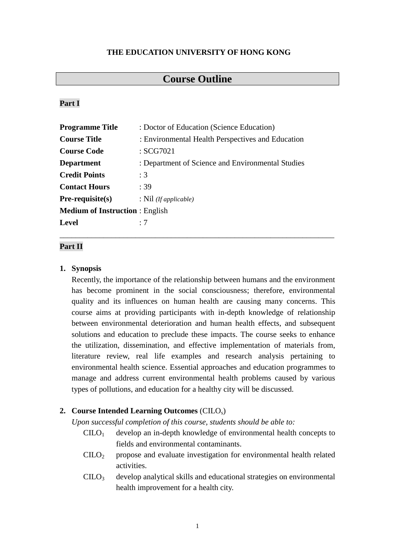### **THE EDUCATION UNIVERSITY OF HONG KONG**

# **Course Outline**

### **Part I**

| <b>Programme Title</b>                | : Doctor of Education (Science Education)         |  |  |
|---------------------------------------|---------------------------------------------------|--|--|
| <b>Course Title</b>                   | : Environmental Health Perspectives and Education |  |  |
| <b>Course Code</b>                    | : SCG7021                                         |  |  |
| <b>Department</b>                     | : Department of Science and Environmental Studies |  |  |
| <b>Credit Points</b>                  | :3                                                |  |  |
| <b>Contact Hours</b>                  | :39                                               |  |  |
| $Pre-requisite(s)$                    | : $Nil$ ( <i>If applicable</i> )                  |  |  |
| <b>Medium of Instruction:</b> English |                                                   |  |  |
| <b>Level</b>                          | $\cdot$ 7                                         |  |  |

\_\_\_\_\_\_\_\_\_\_\_\_\_\_\_\_\_\_\_\_\_\_\_\_\_\_\_\_\_\_\_\_\_\_\_\_\_\_\_\_\_\_\_\_\_\_\_\_\_\_\_\_\_\_\_\_\_\_\_\_\_\_\_\_\_\_\_\_\_

## **Part II**

### **1. Synopsis**

Recently, the importance of the relationship between humans and the environment has become prominent in the social consciousness; therefore, environmental quality and its influences on human health are causing many concerns. This course aims at providing participants with in-depth knowledge of relationship between environmental deterioration and human health effects, and subsequent solutions and education to preclude these impacts. The course seeks to enhance the utilization, dissemination, and effective implementation of materials from, literature review, real life examples and research analysis pertaining to environmental health science. Essential approaches and education programmes to manage and address current environmental health problems caused by various types of pollutions, and education for a healthy city will be discussed.

### **2. Course Intended Learning Outcomes** (CILOs)

*Upon successful completion of this course, students should be able to:*

- $C I L O<sub>1</sub>$  develop an in-depth knowledge of environmental health concepts to fields and environmental contaminants.
- $C I L O<sub>2</sub>$  propose and evaluate investigation for environmental health related activities.
- $\text{CHO}_3$  develop analytical skills and educational strategies on environmental health improvement for a health city.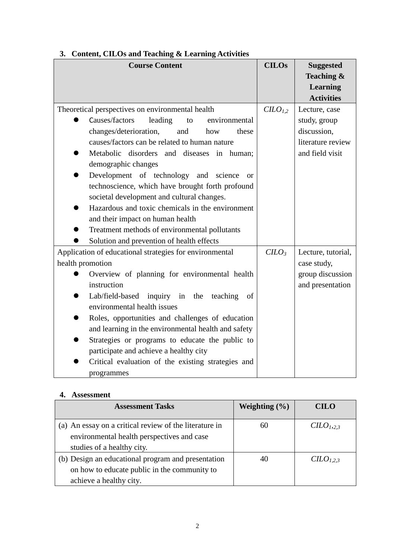| <b>Course Content</b>                                   | <b>CILOs</b>                    | <b>Suggested</b>   |
|---------------------------------------------------------|---------------------------------|--------------------|
|                                                         |                                 | Teaching &         |
|                                                         |                                 | Learning           |
|                                                         |                                 | <b>Activities</b>  |
| Theoretical perspectives on environmental health        | C <sub>L</sub> O <sub>L,2</sub> | Lecture, case      |
| Causes/factors<br>leading<br>environmental<br>to        |                                 | study, group       |
| changes/deterioration,<br>and<br>how<br>these           |                                 | discussion,        |
| causes/factors can be related to human nature           |                                 | literature review  |
| Metabolic disorders and diseases in human;              |                                 | and field visit    |
| demographic changes                                     |                                 |                    |
| Development of technology and science<br><sub>or</sub>  |                                 |                    |
| technoscience, which have brought forth profound        |                                 |                    |
| societal development and cultural changes.              |                                 |                    |
| Hazardous and toxic chemicals in the environment        |                                 |                    |
| and their impact on human health                        |                                 |                    |
| Treatment methods of environmental pollutants           |                                 |                    |
| Solution and prevention of health effects               |                                 |                    |
| Application of educational strategies for environmental | $C LO3$                         | Lecture, tutorial, |
| health promotion                                        |                                 | case study,        |
| Overview of planning for environmental health           |                                 | group discussion   |
| instruction                                             |                                 | and presentation   |
| Lab/field-based inquiry in the<br>teaching<br>of        |                                 |                    |
| environmental health issues                             |                                 |                    |
| Roles, opportunities and challenges of education        |                                 |                    |
| and learning in the environmental health and safety     |                                 |                    |
| Strategies or programs to educate the public to         |                                 |                    |
| participate and achieve a healthy city                  |                                 |                    |
| Critical evaluation of the existing strategies and      |                                 |                    |
| programmes                                              |                                 |                    |

# **3. Content, CILOs and Teaching & Learning Activities**

## **4. Assessment**

| <b>Assessment Tasks</b>                                                                                                            | Weighting $(\% )$ | <b>CILO</b>                       |
|------------------------------------------------------------------------------------------------------------------------------------|-------------------|-----------------------------------|
| (a) An essay on a critical review of the literature in<br>environmental health perspectives and case<br>studies of a healthy city. | 60                | C <sub>L</sub> O <sub>1,2,3</sub> |
| (b) Design an educational program and presentation<br>on how to educate public in the community to<br>achieve a healthy city.      | 40                | C <sub>L</sub> O <sub>L,2,3</sub> |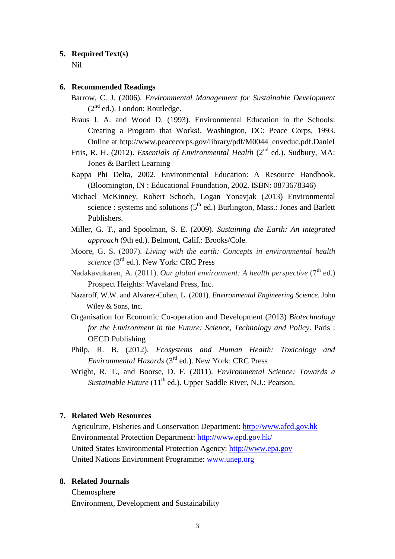#### **5. Required Text(s)**

Nil

#### **6. Recommended Readings**

- Barrow, C. J. (2006). *Environmental Management for Sustainable Development*  $(2<sup>nd</sup>$  ed.). London: Routledge.
- Braus J. A. and Wood D. (1993). [Environmental Education in the Schools:](http://www.peacecorps.gov/library/pdf/M0044_enveduc.pdf)  [Creating a Program that Works!.](http://www.peacecorps.gov/library/pdf/M0044_enveduc.pdf) Washington, DC: Peace Corps, 1993. Online at http://www.peacecorps.gov/library/pdf/M0044\_enveduc.pdf.Daniel
- Friis, R. H. (2012). *Essentials of Environmental Health* (2<sup>nd</sup> ed.). Sudbury, MA: Jones & Bartlett Learning
- Kappa Phi Delta, 2002. Environmental Education: A Resource Handbook. (Bloomington, IN : Educational Foundation, 2002. ISBN: 0873678346)
- Michael McKinney, Robert Schoch, Logan Yonavjak (2013) Environmental science : systems and solutions  $(5<sup>th</sup>$  ed.) Burlington, Mass.: Jones and Barlett Publishers.
- Miller, G. T., and Spoolman, S. E. (2009). *Sustaining the Earth: An integrated approach* (9th ed.). Belmont, Calif.: Brooks/Cole.
- Moore, G. S. (2007). *Living with the earth: Concepts in environmental health science* (3rd ed.). New York: CRC Press
- Nadakavukaren, A. (2011). *Our global environment: A health perspective* (7<sup>th</sup> ed.) Prospect Heights: Waveland Press, Inc.
- Nazaroff, W.W. and Alvarez-Cohen, L. (2001). *Environmental Engineering Science.* John Wiley & Sons, Inc.
- Organisation for Economic Co-operation and Development (2013) *Biotechnology for the Environment in the Future: Science, Technology and Policy*. Paris : OECD Publishing
- Philp, R. B. (2012). *Ecosystems and Human Health: Toxicology and Environmental Hazards* (3rd ed.). New York: CRC Press
- Wright, R. T., and Boorse, D. F. (2011). *Environmental Science: Towards a Sustainable Future* (11<sup>th</sup> ed.). Upper Saddle River, N.J.: Pearson.

#### **7. Related Web Resources**

Agriculture, Fisheries and Conservation Department: [http://www.afcd.gov.hk](http://www.afcd.gov.hk/) Environmental Protection Department:<http://www.epd.gov.hk/> United States Environmental Protection Agency: [http://www.epa.gov](http://www.epa.gov/) United Nations Environment Programme: [www.unep.org](http://www.unep.org/)

### **8. Related Journals**

Chemosphere Environment, Development and Sustainability